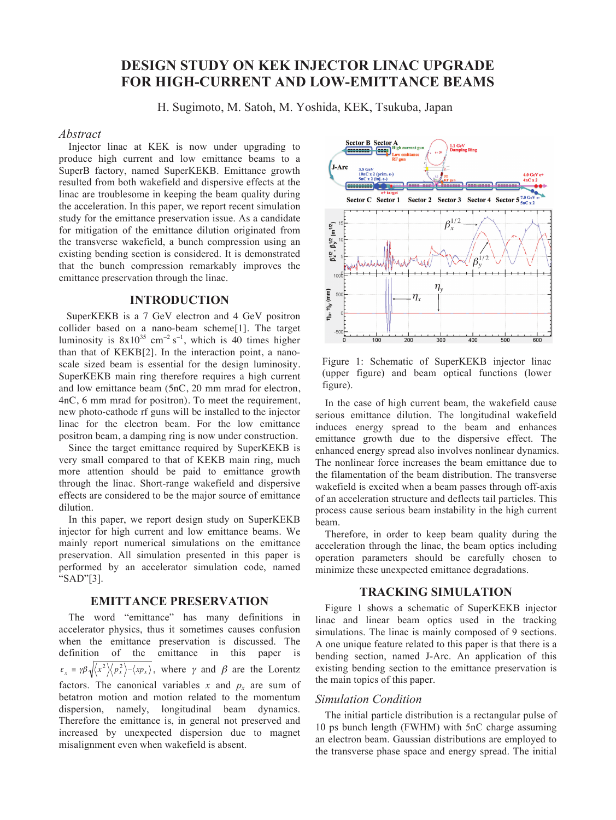# **DESIGN STUDY ON KEK INJECTOR LINAC UPGRADE FOR HIGH-CURRENT AND LOW-EMITTANCE BEAMS**

H. Sugimoto, M. Satoh, M. Yoshida, KEK, Tsukuba, Japan

#### *Abstract*

Injector linac at KEK is now under upgrading to produce high current and low emittance beams to a SuperB factory, named SuperKEKB. Emittance growth resulted from both wakefield and dispersive effects at the linac are troublesome in keeping the beam quality during the acceleration. In this paper, we report recent simulation study for the emittance preservation issue. As a candidate for mitigation of the emittance dilution originated from the transverse wakefield, a bunch compression using an existing bending section is considered. It is demonstrated that the bunch compression remarkably improves the emittance preservation through the linac.

#### **INTRODUCTION**

 SuperKEKB is a 7 GeV electron and 4 GeV positron collider based on a nano-beam scheme[1]. The target luminosity is  $8x10^{35}$  cm<sup>-2</sup> s<sup>-1</sup>, which is 40 times higher than that of KEKB[2]. In the interaction point, a nanoscale sized beam is essential for the design luminosity. SuperKEKB main ring therefore requires a high current and low emittance beam (5nC, 20 mm mrad for electron, 4nC, 6 mm mrad for positron). To meet the requirement, new photo-cathode rf guns will be installed to the injector linac for the electron beam. For the low emittance positron beam, a damping ring is now under construction.

Since the target emittance required by SuperKEKB is very small compared to that of KEKB main ring, much more attention should be paid to emittance growth through the linac. Short-range wakefield and dispersive effects are considered to be the major source of emittance dilution.

In this paper, we report design study on SuperKEKB injector for high current and low emittance beams. We mainly report numerical simulations on the emittance preservation. All simulation presented in this paper is performed by an accelerator simulation code, named "SAD"[3].

## **EMITTANCE PRESERVATION**

The word "emittance" has many definitions in accelerator physics, thus it sometimes causes confusion when the emittance preservation is discussed. The definition of the emittance in this paper is  $\varepsilon_x = \gamma \beta \sqrt{\langle x^2 \rangle \langle p_x^2 \rangle - \langle x p_x \rangle}$ , where  $\gamma$  and  $\beta$  are the Lorentz factors. The canonical variables x and  $p_x$  are sum of betatron motion and motion related to the momentum dispersion, namely, longitudinal beam dynamics. Therefore the emittance is, in general not preserved and increased by unexpected dispersion due to magnet misalignment even when wakefield is absent.



Figure 1: Schematic of SuperKEKB injector linac (upper figure) and beam optical functions (lower figure).

In the case of high current beam, the wakefield cause serious emittance dilution. The longitudinal wakefield induces energy spread to the beam and enhances emittance growth due to the dispersive effect. The enhanced energy spread also involves nonlinear dynamics. The nonlinear force increases the beam emittance due to the filamentation of the beam distribution. The transverse wakefield is excited when a beam passes through off-axis of an acceleration structure and deflects tail particles. This process cause serious beam instability in the high current beam.

Therefore, in order to keep beam quality during the acceleration through the linac, the beam optics including operation parameters should be carefully chosen to minimize these unexpected emittance degradations.

## **TRACKING SIMULATION**

Figure 1 shows a schematic of SuperKEKB injector linac and linear beam optics used in the tracking simulations. The linac is mainly composed of 9 sections. A one unique feature related to this paper is that there is a bending section, named J-Arc. An application of this existing bending section to the emittance preservation is the main topics of this paper.

#### *Simulation Condition*

The initial particle distribution is a rectangular pulse of 10 ps bunch length (FWHM) with 5nC charge assuming an electron beam. Gaussian distributions are employed to the transverse phase space and energy spread. The initial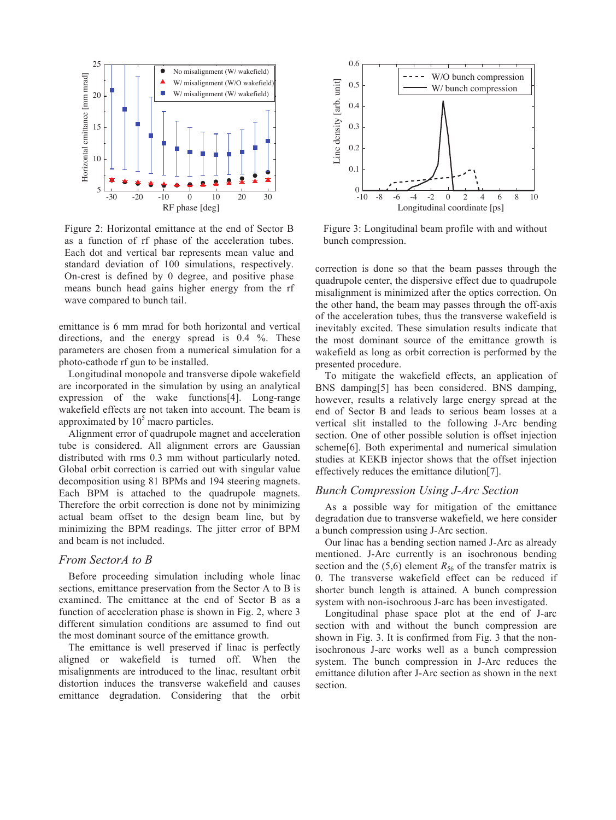

Figure 2: Horizontal emittance at the end of Sector B as a function of rf phase of the acceleration tubes. Each dot and vertical bar represents mean value and standard deviation of 100 simulations, respectively. On-crest is defined by 0 degree, and positive phase means bunch head gains higher energy from the rf wave compared to bunch tail.

emittance is 6 mm mrad for both horizontal and vertical directions, and the energy spread is 0.4 %. These parameters are chosen from a numerical simulation for a photo-cathode rf gun to be installed.

Longitudinal monopole and transverse dipole wakefield are incorporated in the simulation by using an analytical expression of the wake functions[4]. Long-range wakefield effects are not taken into account. The beam is approximated by  $10<sup>5</sup>$  macro particles.

Alignment error of quadrupole magnet and acceleration tube is considered. All alignment errors are Gaussian distributed with rms 0.3 mm without particularly noted. Global orbit correction is carried out with singular value decomposition using 81 BPMs and 194 steering magnets. Each BPM is attached to the quadrupole magnets. Therefore the orbit correction is done not by minimizing actual beam offset to the design beam line, but by minimizing the BPM readings. The jitter error of BPM and beam is not included.

## *From SectorA to B*

Before proceeding simulation including whole linac sections, emittance preservation from the Sector A to B is examined. The emittance at the end of Sector B as a function of acceleration phase is shown in Fig. 2, where 3 different simulation conditions are assumed to find out the most dominant source of the emittance growth.

The emittance is well preserved if linac is perfectly aligned or wakefield is turned off. When the misalignments are introduced to the linac, resultant orbit distortion induces the transverse wakefield and causes emittance degradation. Considering that the orbit



Figure 3: Longitudinal beam profile with and without bunch compression.

correction is done so that the beam passes through the quadrupole center, the dispersive effect due to quadrupole misalignment is minimized after the optics correction. On the other hand, the beam may passes through the off-axis of the acceleration tubes, thus the transverse wakefield is inevitably excited. These simulation results indicate that the most dominant source of the emittance growth is wakefield as long as orbit correction is performed by the presented procedure.

To mitigate the wakefield effects, an application of BNS damping[5] has been considered. BNS damping, however, results a relatively large energy spread at the end of Sector B and leads to serious beam losses at a vertical slit installed to the following J-Arc bending section. One of other possible solution is offset injection scheme[6]. Both experimental and numerical simulation studies at KEKB injector shows that the offset injection effectively reduces the emittance dilution[7].

## *Bunch Compression Using J-Arc Section*

As a possible way for mitigation of the emittance degradation due to transverse wakefield, we here consider a bunch compression using J-Arc section.

Our linac has a bending section named J-Arc as already mentioned. J-Arc currently is an isochronous bending section and the  $(5,6)$  element  $R_{56}$  of the transfer matrix is 0. The transverse wakefield effect can be reduced if shorter bunch length is attained. A bunch compression system with non-isochroous J-arc has been investigated.

Longitudinal phase space plot at the end of J-arc section with and without the bunch compression are shown in Fig. 3. It is confirmed from Fig. 3 that the nonisochronous J-arc works well as a bunch compression system. The bunch compression in J-Arc reduces the emittance dilution after J-Arc section as shown in the next section.